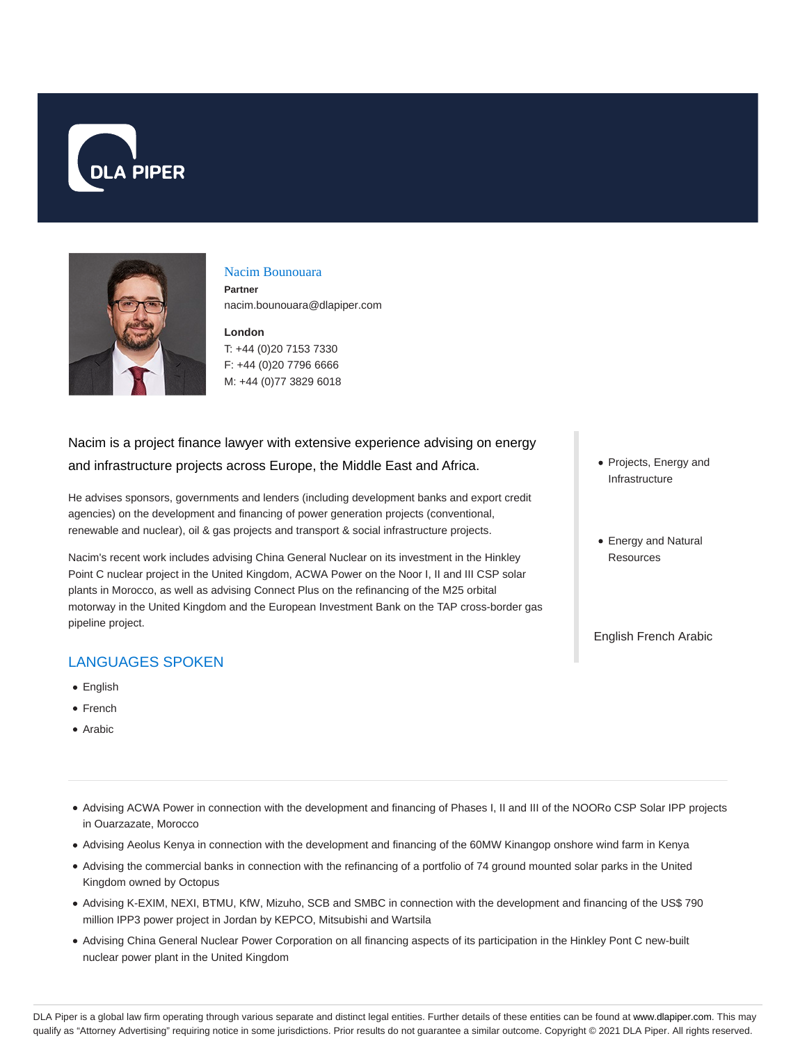



#### Nacim Bounouara

**Partner** nacim.bounouara@dlapiper.com

# **London** T: +44 (0)20 7153 7330

F: +44 (0)20 7796 6666 M: +44 (0)77 3829 6018

# Nacim is a project finance lawyer with extensive experience advising on energy and infrastructure projects across Europe, the Middle East and Africa.

He advises sponsors, governments and lenders (including development banks and export credit agencies) on the development and financing of power generation projects (conventional, renewable and nuclear), oil & gas projects and transport & social infrastructure projects.

Nacim's recent work includes advising China General Nuclear on its investment in the Hinkley Point C nuclear project in the United Kingdom, ACWA Power on the Noor I, II and III CSP solar plants in Morocco, as well as advising Connect Plus on the refinancing of the M25 orbital motorway in the United Kingdom and the European Investment Bank on the TAP cross-border gas pipeline project.

# LANGUAGES SPOKEN

- English
- French
- Arabic
- Advising ACWA Power in connection with the development and financing of Phases I, II and III of the NOORo CSP Solar IPP projects in Ouarzazate, Morocco
- Advising Aeolus Kenya in connection with the development and financing of the 60MW Kinangop onshore wind farm in Kenya
- Advising the commercial banks in connection with the refinancing of a portfolio of 74 ground mounted solar parks in the United Kingdom owned by Octopus
- Advising K-EXIM, NEXI, BTMU, KfW, Mizuho, SCB and SMBC in connection with the development and financing of the US\$ 790 million IPP3 power project in Jordan by KEPCO, Mitsubishi and Wartsila
- Advising China General Nuclear Power Corporation on all financing aspects of its participation in the Hinkley Pont C new-built nuclear power plant in the United Kingdom
- Projects, Energy and Infrastructure
- Energy and Natural Resources

English French Arabic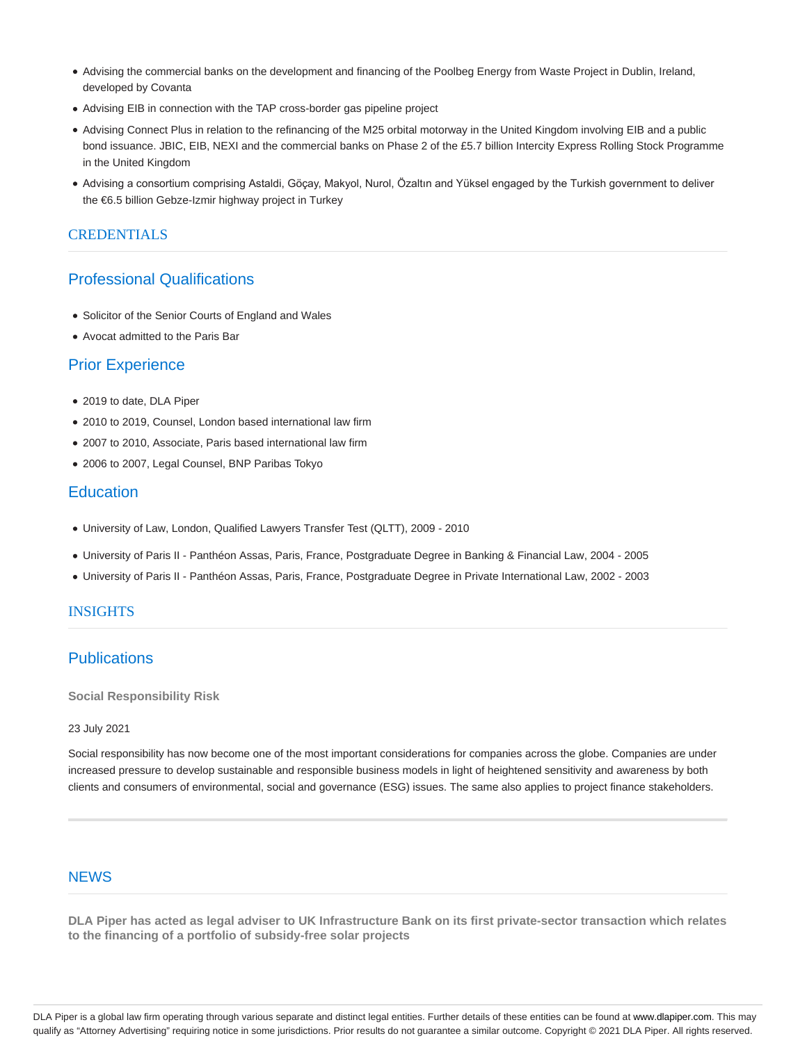- Advising the commercial banks on the development and financing of the Poolbeg Energy from Waste Project in Dublin, Ireland, developed by Covanta
- Advising EIB in connection with the TAP cross-border gas pipeline project
- Advising Connect Plus in relation to the refinancing of the M25 orbital motorway in the United Kingdom involving EIB and a public bond issuance. JBIC, EIB, NEXI and the commercial banks on Phase 2 of the £5.7 billion Intercity Express Rolling Stock Programme in the United Kingdom
- Advising a consortium comprising Astaldi, Göçay, Makyol, Nurol, Özaltın and Yüksel engaged by the Turkish government to deliver the €6.5 billion Gebze-Izmir highway project in Turkey

#### **CREDENTIALS**

## Professional Qualifications

- Solicitor of the Senior Courts of England and Wales
- Avocat admitted to the Paris Bar

## Prior Experience

- 2019 to date, DLA Piper
- 2010 to 2019, Counsel, London based international law firm
- 2007 to 2010, Associate, Paris based international law firm
- 2006 to 2007, Legal Counsel, BNP Paribas Tokyo

## **Education**

- University of Law, London, Qualified Lawyers Transfer Test (QLTT), 2009 2010
- University of Paris II Panthéon Assas, Paris, France, Postgraduate Degree in Banking & Financial Law, 2004 2005
- University of Paris II Panthéon Assas, Paris, France, Postgraduate Degree in Private International Law, 2002 2003

#### INSIGHTS

## **Publications**

**Social Responsibility Risk**

#### 23 July 2021

Social responsibility has now become one of the most important considerations for companies across the globe. Companies are under increased pressure to develop sustainable and responsible business models in light of heightened sensitivity and awareness by both clients and consumers of environmental, social and governance (ESG) issues. The same also applies to project finance stakeholders.

### **NFWS**

**DLA Piper has acted as legal adviser to UK Infrastructure Bank on its first private-sector transaction which relates to the financing of a portfolio of subsidy-free solar projects**

DLA Piper is a global law firm operating through various separate and distinct legal entities. Further details of these entities can be found at www.dlapiper.com. This may qualify as "Attorney Advertising" requiring notice in some jurisdictions. Prior results do not guarantee a similar outcome. Copyright © 2021 DLA Piper. All rights reserved.